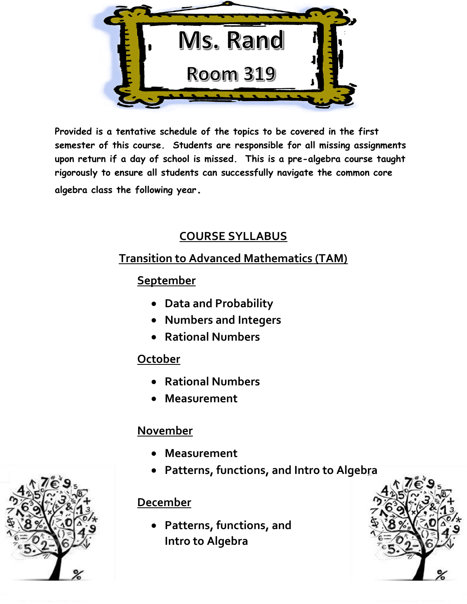

**Provided is a tentative schedule of the topics to be covered in the first semester of this course. Students are responsible for all missing assignments upon return if a day of school is missed. This is a pre-algebra course taught rigorously to ensure all students can successfully navigate the common core algebra class the following year.**

#### **COURSE SYLLABUS**

#### **Transition to Advanced Mathematics (TAM)**

#### **September**

- **Data and Probability**
- **Numbers and Integers**
- **Rational Numbers**

### **October**

- **Rational Numbers**
- **Measurement**

## **November**

- **Measurement**
- **Patterns, functions, and Intro to Algebra**

### **December**

 **Patterns, functions, and Intro to Algebra**